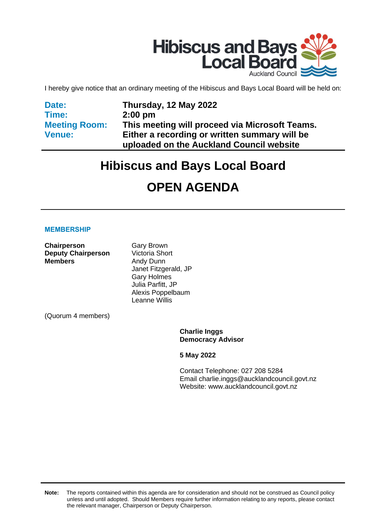

I hereby give notice that an ordinary meeting of the Hibiscus and Bays Local Board will be held on:

**Date: Time: Meeting Room: Venue:**

**Thursday, 12 May 2022 2:00 pm This meeting will proceed via Microsoft Teams. Either a recording or written summary will be uploaded on the Auckland Council website**

# **Hibiscus and Bays Local Board**

# **OPEN AGENDA**

#### **MEMBERSHIP**

**Chairperson** Gary Brown **Deputy Chairperson** Victoria Short **Members** Andy Dunn

Janet Fitzgerald, JP Gary Holmes Julia Parfitt, JP Alexis Poppelbaum Leanne Willis

(Quorum 4 members)

**Charlie Inggs Democracy Advisor**

**5 May 2022**

Contact Telephone: 027 208 5284 Email: charlie.inggs@aucklandcouncil.govt.nz Website: www.aucklandcouncil.govt.nz

**Note:** The reports contained within this agenda are for consideration and should not be construed as Council policy unless and until adopted. Should Members require further information relating to any reports, please contact the relevant manager, Chairperson or Deputy Chairperson.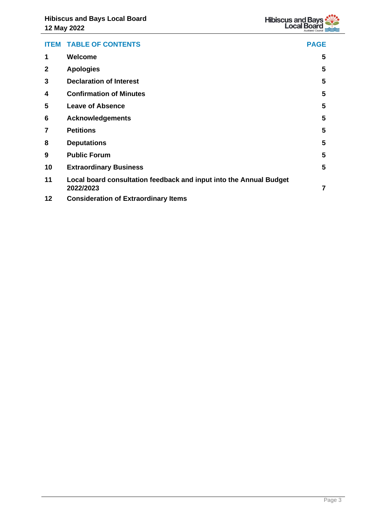

|                | <b>ITEM TABLE OF CONTENTS</b>                                                   | <b>PAGE</b>    |
|----------------|---------------------------------------------------------------------------------|----------------|
| 1              | Welcome                                                                         | 5              |
| $\mathbf{2}$   | <b>Apologies</b>                                                                | 5              |
| 3              | <b>Declaration of Interest</b>                                                  | 5              |
| 4              | <b>Confirmation of Minutes</b>                                                  | 5              |
| 5              | <b>Leave of Absence</b>                                                         | 5              |
| 6              | <b>Acknowledgements</b>                                                         | 5              |
| $\overline{7}$ | <b>Petitions</b>                                                                | 5              |
| 8              | <b>Deputations</b>                                                              | 5              |
| 9              | <b>Public Forum</b>                                                             | 5              |
| 10             | <b>Extraordinary Business</b>                                                   | 5              |
| 11             | Local board consultation feedback and input into the Annual Budget<br>2022/2023 | $\overline{7}$ |
| 12             | <b>Consideration of Extraordinary Items</b>                                     |                |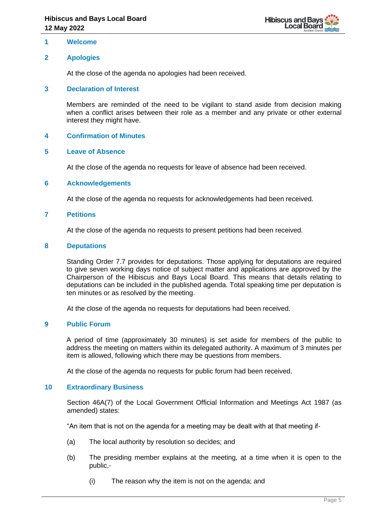

#### <span id="page-4-0"></span>**1 Welcome**

### <span id="page-4-1"></span>**2 Apologies**

At the close of the agenda no apologies had been received.

#### <span id="page-4-2"></span>**3 Declaration of Interest**

Members are reminded of the need to be vigilant to stand aside from decision making when a conflict arises between their role as a member and any private or other external interest they might have.

#### <span id="page-4-3"></span>**4 Confirmation of Minutes**

#### <span id="page-4-4"></span>**5 Leave of Absence**

At the close of the agenda no requests for leave of absence had been received.

#### <span id="page-4-5"></span>**6 Acknowledgements**

At the close of the agenda no requests for acknowledgements had been received.

#### <span id="page-4-6"></span>**7 Petitions**

At the close of the agenda no requests to present petitions had been received.

#### <span id="page-4-7"></span>**8 Deputations**

Standing Order 7.7 provides for deputations. Those applying for deputations are required to give seven working days notice of subject matter and applications are approved by the Chairperson of the Hibiscus and Bays Local Board. This means that details relating to deputations can be included in the published agenda. Total speaking time per deputation is ten minutes or as resolved by the meeting.

At the close of the agenda no requests for deputations had been received.

#### <span id="page-4-8"></span>**9 Public Forum**

A period of time (approximately 30 minutes) is set aside for members of the public to address the meeting on matters within its delegated authority. A maximum of 3 minutes per item is allowed, following which there may be questions from members.

At the close of the agenda no requests for public forum had been received.

#### <span id="page-4-9"></span>**10 Extraordinary Business**

Section 46A(7) of the Local Government Official Information and Meetings Act 1987 (as amended) states:

"An item that is not on the agenda for a meeting may be dealt with at that meeting if-

- (a) The local authority by resolution so decides; and
- (b) The presiding member explains at the meeting, at a time when it is open to the public,-
	- (i) The reason why the item is not on the agenda; and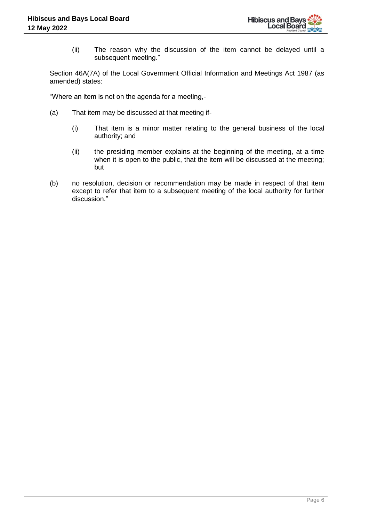(ii) The reason why the discussion of the item cannot be delayed until a subsequent meeting."

Section 46A(7A) of the Local Government Official Information and Meetings Act 1987 (as amended) states:

"Where an item is not on the agenda for a meeting,-

- (a) That item may be discussed at that meeting if-
	- (i) That item is a minor matter relating to the general business of the local authority; and
	- (ii) the presiding member explains at the beginning of the meeting, at a time when it is open to the public, that the item will be discussed at the meeting; but
- (b) no resolution, decision or recommendation may be made in respect of that item except to refer that item to a subsequent meeting of the local authority for further discussion."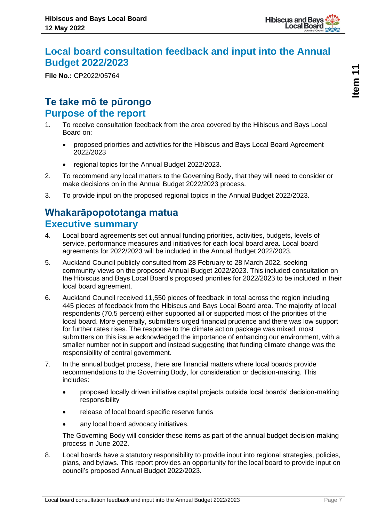

## <span id="page-6-0"></span>**Local board consultation feedback and input into the Annual Budget 2022/2023**

**File No.:** CP2022/05764

## **Te take mō te pūrongo Purpose of the report**

- 1. To receive consultation feedback from the area covered by the Hibiscus and Bays Local Board on:
	- proposed priorities and activities for the Hibiscus and Bays Local Board Agreement 2022/2023
	- regional topics for the Annual Budget 2022/2023.
- 2. To recommend any local matters to the Governing Body, that they will need to consider or make decisions on in the Annual Budget 2022/2023 process.
- 3. To provide input on the proposed regional topics in the Annual Budget 2022/2023.

## **Whakarāpopototanga matua Executive summary**

- 4. Local board agreements set out annual funding priorities, activities, budgets, levels of service, performance measures and initiatives for each local board area. Local board agreements for 2022/2023 will be included in the Annual Budget 2022/2023.
- 5. Auckland Council publicly consulted from 28 February to 28 March 2022, seeking community views on the proposed Annual Budget 2022/2023. This included consultation on the Hibiscus and Bays Local Board's proposed priorities for 2022/2023 to be included in their local board agreement.
- 6. Auckland Council received 11,550 pieces of feedback in total across the region including 445 pieces of feedback from the Hibiscus and Bays Local Board area. The majority of local respondents (70.5 percent) either supported all or supported most of the priorities of the local board. More generally, submitters urged financial prudence and there was low support for further rates rises. The response to the climate action package was mixed, most submitters on this issue acknowledged the importance of enhancing our environment, with a smaller number not in support and instead suggesting that funding climate change was the responsibility of central government.
- 7. In the annual budget process, there are financial matters where local boards provide recommendations to the Governing Body, for consideration or decision-making. This includes:
	- proposed locally driven initiative capital projects outside local boards' decision-making responsibility
	- release of local board specific reserve funds
	- any local board advocacy initiatives.

The Governing Body will consider these items as part of the annual budget decision-making process in June 2022.

8. Local boards have a statutory responsibility to provide input into regional strategies, policies, plans, and bylaws. This report provides an opportunity for the local board to provide input on council's proposed Annual Budget 2022/2023.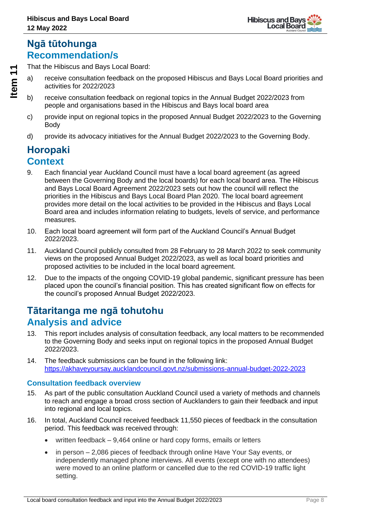## **Ngā tūtohunga Recommendation/s**

That the Hibiscus and Bays Local Board:

- a) receive consultation feedback on the proposed Hibiscus and Bays Local Board priorities and activities for 2022/2023
- b) receive consultation feedback on regional topics in the Annual Budget 2022/2023 from people and organisations based in the Hibiscus and Bays local board area
- c) provide input on regional topics in the proposed Annual Budget 2022/2023 to the Governing Body
- d) provide its advocacy initiatives for the Annual Budget 2022/2023 to the Governing Body.

## **Horopaki Context**

- 9. Each financial year Auckland Council must have a local board agreement (as agreed between the Governing Body and the local boards) for each local board area. The Hibiscus and Bays Local Board Agreement 2022/2023 sets out how the council will reflect the priorities in the Hibiscus and Bays Local Board Plan 2020. The local board agreement provides more detail on the local activities to be provided in the Hibiscus and Bays Local Board area and includes information relating to budgets, levels of service, and performance measures.
- 10. Each local board agreement will form part of the Auckland Council's Annual Budget 2022/2023.
- 11. Auckland Council publicly consulted from 28 February to 28 March 2022 to seek community views on the proposed Annual Budget 2022/2023, as well as local board priorities and proposed activities to be included in the local board agreement.
- 12. Due to the impacts of the ongoing COVID-19 global pandemic, significant pressure has been placed upon the council's financial position. This has created significant flow on effects for the council's proposed Annual Budget 2022/2023.

## **Tātaritanga me ngā tohutohu Analysis and advice**

- 13. This report includes analysis of consultation feedback, any local matters to be recommended to the Governing Body and seeks input on regional topics in the proposed Annual Budget 2022/2023.
- 14. The feedback submissions can be found in the following link: <https://akhaveyoursay.aucklandcouncil.govt.nz/submissions-annual-budget-2022-2023>

### **Consultation feedback overview**

- 15. As part of the public consultation Auckland Council used a variety of methods and channels to reach and engage a broad cross section of Aucklanders to gain their feedback and input into regional and local topics.
- 16. In total, Auckland Council received feedback 11,550 pieces of feedback in the consultation period. This feedback was received through:
	- written feedback 9,464 online or hard copy forms, emails or letters
	- in person 2,086 pieces of feedback through online Have Your Say events, or independently managed phone interviews. All events (except one with no attendees) were moved to an online platform or cancelled due to the red COVID-19 traffic light setting.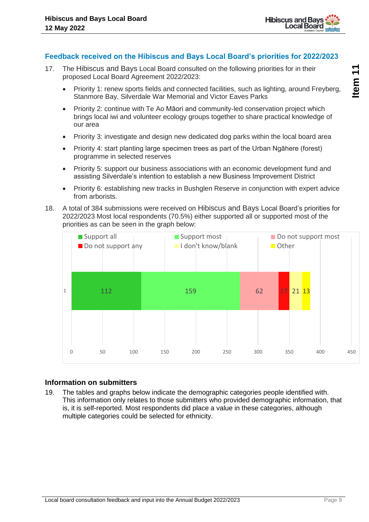

#### **Feedback received on the Hibiscus and Bays Local Board's priorities for 2022/2023**

- 17. The Hibiscus and Bays Local Board consulted on the following priorities for in their proposed Local Board Agreement 2022/2023:
	- Priority 1: renew sports fields and connected facilities, such as lighting, around Freyberg, Stanmore Bay, Silverdale War Memorial and Victor Eaves Parks
	- Priority 2: continue with Te Ao Māori and community-led conservation project which brings local iwi and volunteer ecology groups together to share practical knowledge of our area
	- Priority 3: investigate and design new dedicated dog parks within the local board area
	- Priority 4: start planting large specimen trees as part of the Urban Ngāhere (forest) programme in selected reserves
	- Priority 5: support our business associations with an economic development fund and assisting Silverdale's intention to establish a new Business Improvement District
	- Priority 6: establishing new tracks in Bushglen Reserve in conjunction with expert advice from arborists.
- 18. A total of 384 submissions were received on Hibiscus and Bays Local Board's priorities for 2022/2023 Most local respondents (70.5%) either supported all or supported most of the priorities as can be seen in the graph below:



#### **Information on submitters**

19. The tables and graphs below indicate the demographic categories people identified with. This information only relates to those submitters who provided demographic information, that is, it is self-reported. Most respondents did place a value in these categories, although multiple categories could be selected for ethnicity.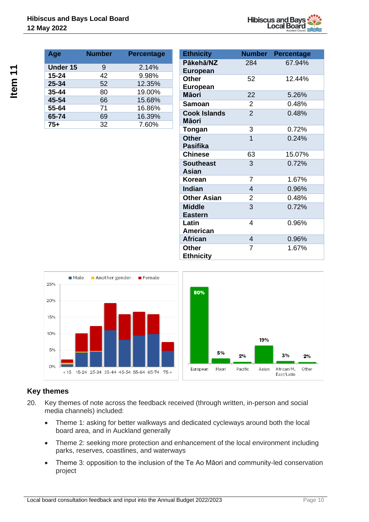

| Age       | <b>Number</b> | <b>Percentage</b> |
|-----------|---------------|-------------------|
| Under 15  | 9             | 2.14%             |
| $15 - 24$ | 42            | 9.98%             |
| 25-34     | 52            | 12.35%            |
| $35 - 44$ | 80            | 19.00%            |
| 45-54     | 66            | 15.68%            |
| 55-64     | 71            | 16.86%            |
| 65-74     | 69            | 16.39%            |
| $75+$     | 32            | 7.60%             |

| <b>Ethnicity</b>                 |                | <b>Number Percentage</b> |
|----------------------------------|----------------|--------------------------|
| Pākehā/NZ<br><b>European</b>     | 284            | 67.94%                   |
| <b>Other</b><br><b>European</b>  | 52             | 12.44%                   |
| <b>Māori</b>                     | 22             | 5.26%                    |
| Samoan                           | $\overline{2}$ | 0.48%                    |
| <b>Cook Islands</b><br>Māori     | $\overline{2}$ | 0.48%                    |
| Tongan                           | 3              | 0.72%                    |
| <b>Other</b><br><b>Pasifika</b>  | 1              | 0.24%                    |
| <b>Chinese</b>                   | 63             | 15.07%                   |
| <b>Southeast</b><br><b>Asian</b> | 3              | 0.72%                    |
| Korean                           | 7              | 1.67%                    |
| <b>Indian</b>                    | 4              | 0.96%                    |
| <b>Other Asian</b>               | $\overline{2}$ | 0.48%                    |
| <b>Middle</b><br><b>Eastern</b>  | 3              | 0.72%                    |
| Latin<br>American                | 4              | 0.96%                    |
| <b>African</b>                   | 4              | 0.96%                    |
| <b>Other</b><br><b>Ethnicity</b> | 7              | 1.67%                    |



### **Key themes**

- 20. Key themes of note across the feedback received (through written, in-person and social media channels) included:
	- Theme 1: asking for better walkways and dedicated cycleways around both the local board area, and in Auckland generally
	- Theme 2: seeking more protection and enhancement of the local environment including parks, reserves, coastlines, and waterways
	- Theme 3: opposition to the inclusion of the Te Ao Māori and community-led conservation project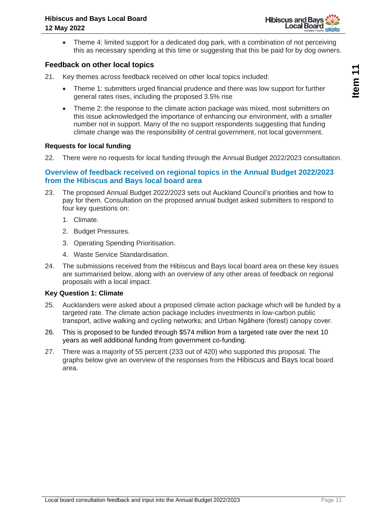

• Theme 4: limited support for a dedicated dog park, with a combination of not perceiving this as necessary spending at this time or suggesting that this be paid for by dog owners.

#### **Feedback on other local topics**

- 21. Key themes across feedback received on other local topics included:
	- Theme 1: submitters urged financial prudence and there was low support for further general rates rises, including the proposed 3.5% rise
	- Theme 2: the response to the climate action package was mixed, most submitters on this issue acknowledged the importance of enhancing our environment, with a smaller number not in support. Many of the no support respondents suggesting that funding climate change was the responsibility of central government, not local government.

#### **Requests for local funding**

22. There were no requests for local funding through the Annual Budget 2022/2023 consultation.

#### **Overview of feedback received on regional topics in the Annual Budget 2022/2023 from the Hibiscus and Bays local board area**

- 23. The proposed Annual Budget 2022/2023 sets out Auckland Council's priorities and how to pay for them. Consultation on the proposed annual budget asked submitters to respond to four key questions on:
	- 1. Climate.
	- 2. Budget Pressures.
	- 3. Operating Spending Prioritisation.
	- 4. Waste Service Standardisation.
- 24. The submissions received from the Hibiscus and Bays local board area on these key issues are summarised below, along with an overview of any other areas of feedback on regional proposals with a local impact.

#### **Key Question 1: Climate**

- 25. Aucklanders were asked about a proposed climate action package which will be funded by a targeted rate. The climate action package includes investments in low-carbon public transport, active walking and cycling networks; and Urban Ngāhere (forest) canopy cover.
- 26. This is proposed to be funded through \$574 million from a targeted rate over the next 10 years as well additional funding from government co-funding.
- 27. There was a majority of 55 percent (233 out of 420) who supported this proposal. The graphs below give an overview of the responses from the Hibiscus and Bays local board area.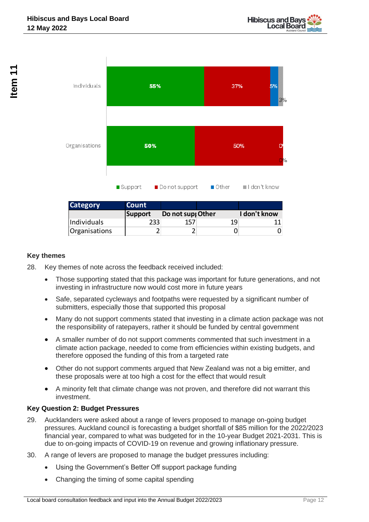

| <b>Category</b>      | Count            |                  |    |              |
|----------------------|------------------|------------------|----|--------------|
|                      | Support          | Do not sup Other |    | I don't know |
| Individuals          | 233 <sub>1</sub> | 157              | 19 |              |
| <b>Organisations</b> |                  |                  |    |              |

#### **Key themes**

- 28. Key themes of note across the feedback received included:
	- Those supporting stated that this package was important for future generations, and not investing in infrastructure now would cost more in future years
	- Safe, separated cycleways and footpaths were requested by a significant number of submitters, especially those that supported this proposal
	- Many do not support comments stated that investing in a climate action package was not the responsibility of ratepayers, rather it should be funded by central government
	- A smaller number of do not support comments commented that such investment in a climate action package, needed to come from efficiencies within existing budgets, and therefore opposed the funding of this from a targeted rate
	- Other do not support comments argued that New Zealand was not a big emitter, and these proposals were at too high a cost for the effect that would result
	- A minority felt that climate change was not proven, and therefore did not warrant this investment.

#### **Key Question 2: Budget Pressures**

- 29. Aucklanders were asked about a range of levers proposed to manage on-going budget pressures. Auckland council is forecasting a budget shortfall of \$85 million for the 2022/2023 financial year, compared to what was budgeted for in the 10-year Budget 2021-2031. This is due to on-going impacts of COVID-19 on revenue and growing inflationary pressure. Category<br>
Individuals<br>
Individuals<br>
Corganisations<br>
• Those supporting stated that this package was<br>
investing in infrastructure now would cost more<br>
• Safe, seperaled cycleways and footoptable were submitters, especially
- 30. A range of levers are proposed to manage the budget pressures including:
	- Using the Government's Better Off support package funding
	-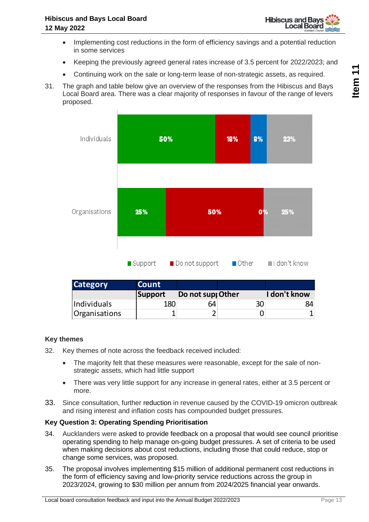

- Implementing cost reductions in the form of efficiency savings and a potential reduction in some services
- Keeping the previously agreed general rates increase of 3.5 percent for 2022/2023; and
- Continuing work on the sale or long-term lease of non-strategic assets, as required.
- 31. The graph and table below give an overview of the responses from the Hibiscus and Bays Local Board area. There was a clear majority of responses in favour of the range of levers proposed.



|           | <b>Category</b>                                                                                                                                                                                                                                                                                            | <b>Count</b>   |                  |    |              |
|-----------|------------------------------------------------------------------------------------------------------------------------------------------------------------------------------------------------------------------------------------------------------------------------------------------------------------|----------------|------------------|----|--------------|
|           |                                                                                                                                                                                                                                                                                                            | <b>Support</b> | Do not sup Other |    | I don't know |
|           | Individuals                                                                                                                                                                                                                                                                                                | 180            | 64               | 30 | 84           |
|           | Organisations                                                                                                                                                                                                                                                                                              | 1              | 2                | 0  | $\mathbf{1}$ |
|           |                                                                                                                                                                                                                                                                                                            |                |                  |    |              |
|           | hemes                                                                                                                                                                                                                                                                                                      |                |                  |    |              |
|           | Key themes of note across the feedback received included:                                                                                                                                                                                                                                                  |                |                  |    |              |
| $\bullet$ | The majority felt that these measures were reasonable, except for the sale of non-<br>strategic assets, which had little support                                                                                                                                                                           |                |                  |    |              |
| $\bullet$ | There was very little support for any increase in general rates, either at 3.5 percent<br>more.                                                                                                                                                                                                            |                |                  |    |              |
|           | Since consultation, further reduction in revenue caused by the COVID-19 omicron out<br>and rising interest and inflation costs has compounded budget pressures.                                                                                                                                            |                |                  |    |              |
|           | <b>Question 3: Operating Spending Prioritisation</b>                                                                                                                                                                                                                                                       |                |                  |    |              |
|           | Aucklanders were asked to provide feedback on a proposal that would see council pri<br>operating spending to help manage on-going budget pressures. A set of criteria to be<br>when making decisions about cost reductions, including those that could reduce, stop<br>change some services, was proposed. |                |                  |    |              |
|           | The proposal involves implementing \$15 million of additional permanent cost reductio<br>the form of efficiency saving and low-priority service reductions across the group in<br>2023/2024, growing to \$30 million per annum from 2024/2025 financial year onwards.                                      |                |                  |    |              |

#### **Key themes**

- 32. Key themes of note across the feedback received included:
	- The majority felt that these measures were reasonable, except for the sale of nonstrategic assets, which had little support
	- There was very little support for any increase in general rates, either at 3.5 percent or more.
- 33. Since consultation, further reduction in revenue caused by the COVID-19 omicron outbreak and rising interest and inflation costs has compounded budget pressures.

#### **Key Question 3: Operating Spending Prioritisation**

- 34. Aucklanders were asked to provide feedback on a proposal that would see council prioritise operating spending to help manage on-going budget pressures. A set of criteria to be used when making decisions about cost reductions, including those that could reduce, stop or change some services, was proposed.
- 35. The proposal involves implementing \$15 million of additional permanent cost reductions in the form of efficiency saving and low-priority service reductions across the group in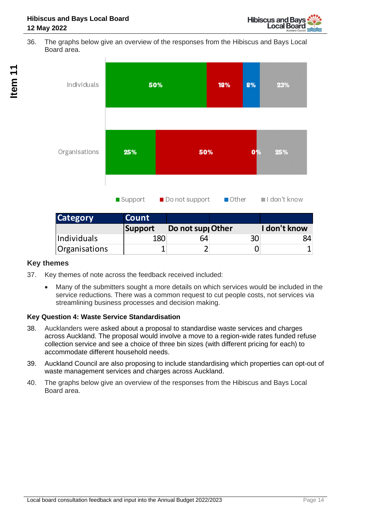36. The graphs below give an overview of the responses from the Hibiscus and Bays Local Board area.



| <b>Category</b>      | <b>Count</b> |                  |    |              |
|----------------------|--------------|------------------|----|--------------|
|                      | Support      | Do not sup Other |    | I don't know |
| Individuals          | 180          | 64               | 30 | 84           |
| <b>Organisations</b> |              |                  |    |              |

### **Key themes**

- 37. Key themes of note across the feedback received included:
	- Many of the submitters sought a more details on which services would be included in the service reductions. There was a common request to cut people costs, not services via streamlining business processes and decision making.

### **Key Question 4: Waste Service Standardisation**

- 38. Aucklanders were asked about a proposal to standardise waste services and charges across Auckland. The proposal would involve a move to a region-wide rates funded refuse collection service and see a choice of three bin sizes (with different pricing for each) to accommodate different household needs.
- 39. Auckland Council are also proposing to include standardising which properties can opt-out of waste management services and charges across Auckland.
- 40. The graphs below give an overview of the responses from the Hibiscus and Bays Local Board area.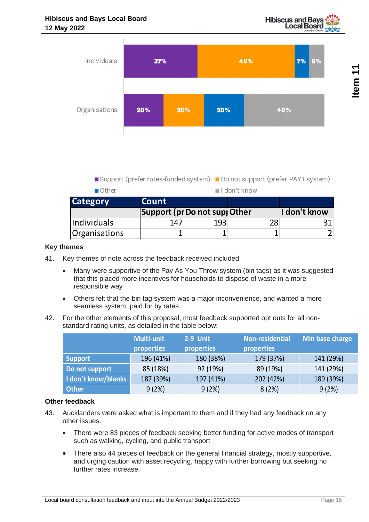



Support (prefer rates-funded system) Do not support (prefer PAYT system)

| ∎Other             |                              |     | l don't know |              |
|--------------------|------------------------------|-----|--------------|--------------|
| <b>Category</b>    | <b>Count</b>                 |     |              |              |
|                    | Support (pr Do not sup Other |     |              | I don't know |
| <i>Individuals</i> | 147                          | 193 | 28           |              |
| Organisations      |                              |     |              |              |

#### **Key themes**

- 41. Key themes of note across the feedback received included:
	- Many were supportive of the Pay As You Throw system (bin tags) as it was suggested that this placed more incentives for households to dispose of waste in a more responsible way
	- Others felt that the bin tag system was a major inconvenience, and wanted a more seamless system, paid for by rates.
- 42. For the other elements of this proposal, most feedback supported opt outs for all nonstandard rating units, as detailed in the table below:

|                     | <b>Multi-unit</b> | 2-9 Unit   | Non-residential | Min base charge |
|---------------------|-------------------|------------|-----------------|-----------------|
|                     | properties        | properties | properties      |                 |
| <b>Support</b>      | 196 (41%)         | 180 (38%)  | 179 (37%)       | 141 (29%)       |
| Do not support      | 85 (18%)          | 92 (19%)   | 89 (19%)        | 141 (29%)       |
| I don't know/blanks | 187 (39%)         | 197 (41%)  | 202 (42%)       | 189 (39%)       |
| <b>Other</b>        | 9(2%)             | 9(2%)      | 8(2%)           | 9(2%)           |

#### **Other feedback**

- 43. Aucklanders were asked what is important to them and if they had any feedback on any other issues.
	- There were 83 pieces of feedback seeking better funding for active modes of transport such as walking, cycling, and public transport
	- There also 44 pieces of feedback on the general financial strategy, mostly supportive, and urging caution with asset recycling, happy with further borrowing but seeking no further rates increase.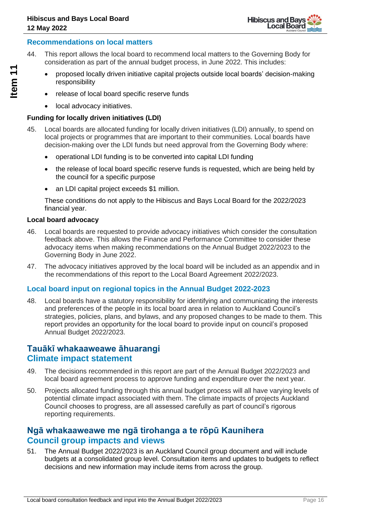#### **Recommendations on local matters**

- 44. This report allows the local board to recommend local matters to the Governing Body for consideration as part of the annual budget process, in June 2022. This includes:
	- proposed locally driven initiative capital projects outside local boards' decision-making responsibility
	- release of local board specific reserve funds
	- local advocacy initiatives.

#### **Funding for locally driven initiatives (LDI)**

- 45. Local boards are allocated funding for locally driven initiatives (LDI) annually, to spend on local projects or programmes that are important to their communities. Local boards have decision-making over the LDI funds but need approval from the Governing Body where:
	- operational LDI funding is to be converted into capital LDI funding
	- the release of local board specific reserve funds is requested, which are being held by the council for a specific purpose
	- an LDI capital project exceeds \$1 million.

These conditions do not apply to the Hibiscus and Bays Local Board for the 2022/2023 financial year.

#### **Local board advocacy**

- 46. Local boards are requested to provide advocacy initiatives which consider the consultation feedback above. This allows the Finance and Performance Committee to consider these advocacy items when making recommendations on the Annual Budget 2022/2023 to the Governing Body in June 2022.
- 47. The advocacy initiatives approved by the local board will be included as an appendix and in the recommendations of this report to the Local Board Agreement 2022/2023.

#### **Local board input on regional topics in the Annual Budget 2022-2023**

48. Local boards have a statutory responsibility for identifying and communicating the interests and preferences of the people in its local board area in relation to Auckland Council's strategies, policies, plans, and bylaws, and any proposed changes to be made to them. This report provides an opportunity for the local board to provide input on council's proposed Annual Budget 2022/2023.

### **Tauākī whakaaweawe āhuarangi Climate impact statement**

- 49. The decisions recommended in this report are part of the Annual Budget 2022/2023 and local board agreement process to approve funding and expenditure over the next year.
- 50. Projects allocated funding through this annual budget process will all have varying levels of potential climate impact associated with them. The climate impacts of projects Auckland Council chooses to progress, are all assessed carefully as part of council's rigorous reporting requirements.

### **Ngā whakaaweawe me ngā tirohanga a te rōpū Kaunihera Council group impacts and views**

51. The Annual Budget 2022/2023 is an Auckland Council group document and will include budgets at a consolidated group level. Consultation items and updates to budgets to reflect decisions and new information may include items from across the group.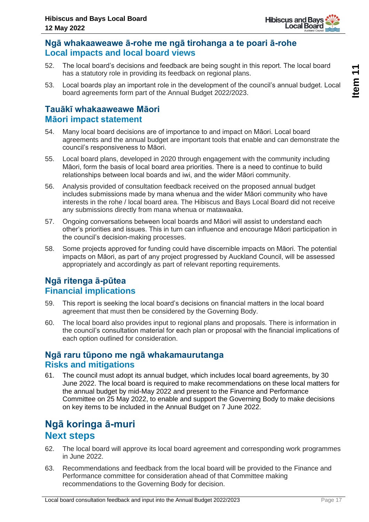

## **Ngā whakaaweawe ā-rohe me ngā tirohanga a te poari ā-rohe Local impacts and local board views**

- 52. The local board's decisions and feedback are being sought in this report. The local board has a statutory role in providing its feedback on regional plans.
- 53. Local boards play an important role in the development of the council's annual budget. Local board agreements form part of the Annual Budget 2022/2023.

## **Tauākī whakaaweawe Māori Māori impact statement**

- 54. Many local board decisions are of importance to and impact on Māori. Local board agreements and the annual budget are important tools that enable and can demonstrate the council's responsiveness to Māori.
- 55. Local board plans, developed in 2020 through engagement with the community including Māori, form the basis of local board area priorities. There is a need to continue to build relationships between local boards and iwi, and the wider Māori community.
- 56. Analysis provided of consultation feedback received on the proposed annual budget includes submissions made by mana whenua and the wider Māori community who have interests in the rohe / local board area. The Hibiscus and Bays Local Board did not receive any submissions directly from mana whenua or matawaaka.
- 57. Ongoing conversations between local boards and Māori will assist to understand each other's priorities and issues. This in turn can influence and encourage Māori participation in the council's decision-making processes.
- 58. Some projects approved for funding could have discernible impacts on Māori. The potential impacts on Māori, as part of any project progressed by Auckland Council, will be assessed appropriately and accordingly as part of relevant reporting requirements.

## **Ngā ritenga ā-pūtea Financial implications**

- 59. This report is seeking the local board's decisions on financial matters in the local board agreement that must then be considered by the Governing Body.
- 60. The local board also provides input to regional plans and proposals. There is information in the council's consultation material for each plan or proposal with the financial implications of each option outlined for consideration.

### **Ngā raru tūpono me ngā whakamaurutanga Risks and mitigations**

61. The council must adopt its annual budget, which includes local board agreements, by 30 June 2022. The local board is required to make recommendations on these local matters for the annual budget by mid-May 2022 and present to the Finance and Performance Committee on 25 May 2022, to enable and support the Governing Body to make decisions on key items to be included in the Annual Budget on 7 June 2022.

## **Ngā koringa ā-muri Next steps**

- 62. The local board will approve its local board agreement and corresponding work programmes in June 2022.
- 63. Recommendations and feedback from the local board will be provided to the Finance and Performance committee for consideration ahead of that Committee making recommendations to the Governing Body for decision.